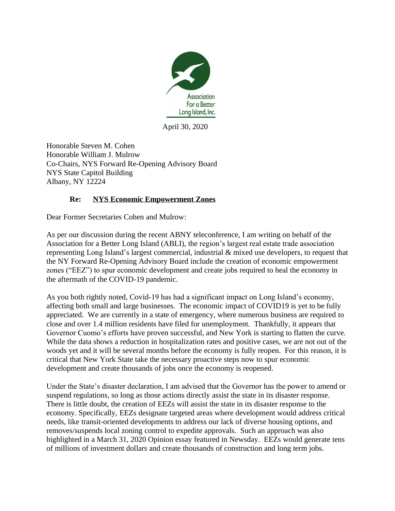

April 30, 2020

Honorable Steven M. Cohen Honorable William J. Mulrow Co-Chairs, NYS Forward Re-Opening Advisory Board NYS State Capitol Building Albany, NY 12224

## **Re: NYS Economic Empowerment Zones**

Dear Former Secretaries Cohen and Mulrow:

As per our discussion during the recent ABNY teleconference, I am writing on behalf of the Association for a Better Long Island (ABLI), the region's largest real estate trade association representing Long Island's largest commercial, industrial & mixed use developers, to request that the NY Forward Re-Opening Advisory Board include the creation of economic empowerment zones ("EEZ") to spur economic development and create jobs required to heal the economy in the aftermath of the COVID-19 pandemic.

As you both rightly noted, Covid-19 has had a significant impact on Long Island's economy, affecting both small and large businesses. The economic impact of COVID19 is yet to be fully appreciated. We are currently in a state of emergency, where numerous business are required to close and over 1.4 million residents have filed for unemployment. Thankfully, it appears that Governor Cuomo's efforts have proven successful, and New York is starting to flatten the curve. While the data shows a reduction in hospitalization rates and positive cases, we are not out of the woods yet and it will be several months before the economy is fully reopen. For this reason, it is critical that New York State take the necessary proactive steps now to spur economic development and create thousands of jobs once the economy is reopened.

Under the State's disaster declaration, I am advised that the Governor has the power to amend or suspend regulations, so long as those actions directly assist the state in its disaster response. There is little doubt, the creation of EEZs will assist the state in its disaster response to the economy. Specifically, EEZs designate targeted areas where development would address critical needs, like transit-oriented developments to address our lack of diverse housing options, and removes/suspends local zoning control to expedite approvals. Such an approach was also highlighted in a March 31, 2020 Opinion essay featured in Newsday. EEZs would generate tens of millions of investment dollars and create thousands of construction and long term jobs.